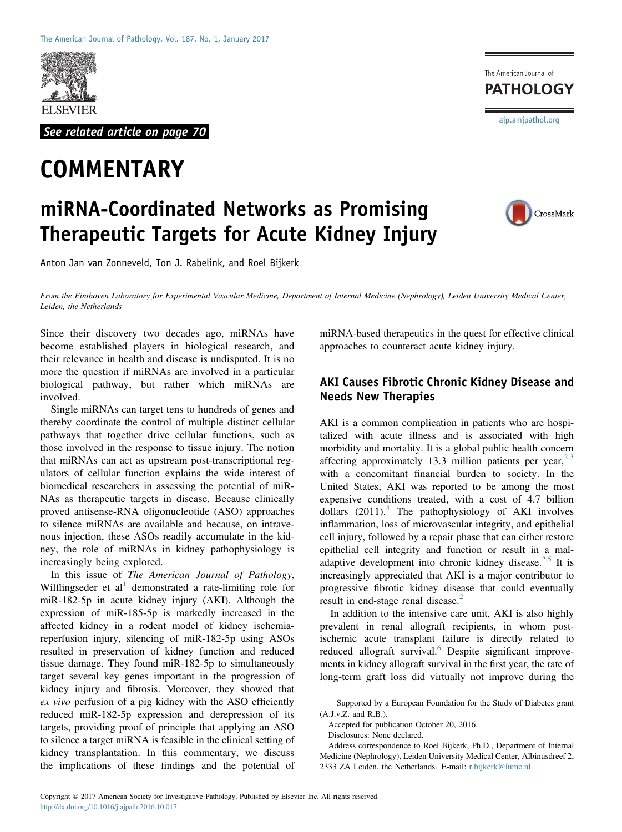

See related article on page 70

# **COMMENTARY**

# miRNA-Coordinated Networks as Promising Therapeutic Targets for Acute Kidney Injury

Anton Jan van Zonneveld, Ton J. Rabelink, and Roel Bijkerk

CrossMark

[ajp.amjpathol.org](http://ajp.amjpathol.org)

The American Journal of **PATHOLOGY** 

From the Einthoven Laboratory for Experimental Vascular Medicine, Department of Internal Medicine (Nephrology), Leiden University Medical Center, Leiden, the Netherlands

Since their discovery two decades ago, miRNAs have become established players in biological research, and their relevance in health and disease is undisputed. It is no more the question if miRNAs are involved in a particular biological pathway, but rather which miRNAs are involved.

Single miRNAs can target tens to hundreds of genes and thereby coordinate the control of multiple distinct cellular pathways that together drive cellular functions, such as those involved in the response to tissue injury. The notion that miRNAs can act as upstream post-transcriptional regulators of cellular function explains the wide interest of biomedical researchers in assessing the potential of miR-NAs as therapeutic targets in disease. Because clinically proved antisense-RNA oligonucleotide (ASO) approaches to silence miRNAs are available and because, on intravenous injection, these ASOs readily accumulate in the kidney, the role of miRNAs in kidney pathophysiology is increasingly being explored.

In this issue of The American Journal of Pathology, Wilflingseder et al<sup>[1](#page-3-0)</sup> demonstrated a rate-limiting role for miR-182-5p in acute kidney injury (AKI). Although the expression of miR-185-5p is markedly increased in the affected kidney in a rodent model of kidney ischemiareperfusion injury, silencing of miR-182-5p using ASOs resulted in preservation of kidney function and reduced tissue damage. They found miR-182-5p to simultaneously target several key genes important in the progression of kidney injury and fibrosis. Moreover, they showed that ex vivo perfusion of a pig kidney with the ASO efficiently reduced miR-182-5p expression and derepression of its targets, providing proof of principle that applying an ASO to silence a target miRNA is feasible in the clinical setting of kidney transplantation. In this commentary, we discuss the implications of these findings and the potential of

miRNA-based therapeutics in the quest for effective clinical approaches to counteract acute kidney injury.

## AKI Causes Fibrotic Chronic Kidney Disease and Needs New Therapies

AKI is a common complication in patients who are hospitalized with acute illness and is associated with high morbidity and mortality. It is a global public health concern affecting approximately 13.3 million patients per year,  $2,3$ with a concomitant financial burden to society. In the United States, AKI was reported to be among the most expensive conditions treated, with a cost of 4.7 billion dollars  $(2011).<sup>4</sup>$  $(2011).<sup>4</sup>$  $(2011).<sup>4</sup>$  The pathophysiology of AKI involves inflammation, loss of microvascular integrity, and epithelial cell injury, followed by a repair phase that can either restore epithelial cell integrity and function or result in a mal-adaptive development into chronic kidney disease.<sup>[2,5](#page-3-1)</sup> It is increasingly appreciated that AKI is a major contributor to progressive fibrotic kidney disease that could eventually result in end-stage renal disease.<sup>[2](#page-3-1)</sup>

In addition to the intensive care unit, AKI is also highly prevalent in renal allograft recipients, in whom postischemic acute transplant failure is directly related to reduced allograft survival.<sup>6</sup> Despite significant improvements in kidney allograft survival in the first year, the rate of long-term graft loss did virtually not improve during the

Disclosures: None declared.

Supported by a European Foundation for the Study of Diabetes grant (A.J.v.Z. and R.B.).

Accepted for publication October 20, 2016.

Address correspondence to Roel Bijkerk, Ph.D., Department of Internal Medicine (Nephrology), Leiden University Medical Center, Albinusdreef 2, 2333 ZA Leiden, the Netherlands. E-mail: [r.bijkerk@lumc.nl](mailto:r.bijkerk@lumc.nl)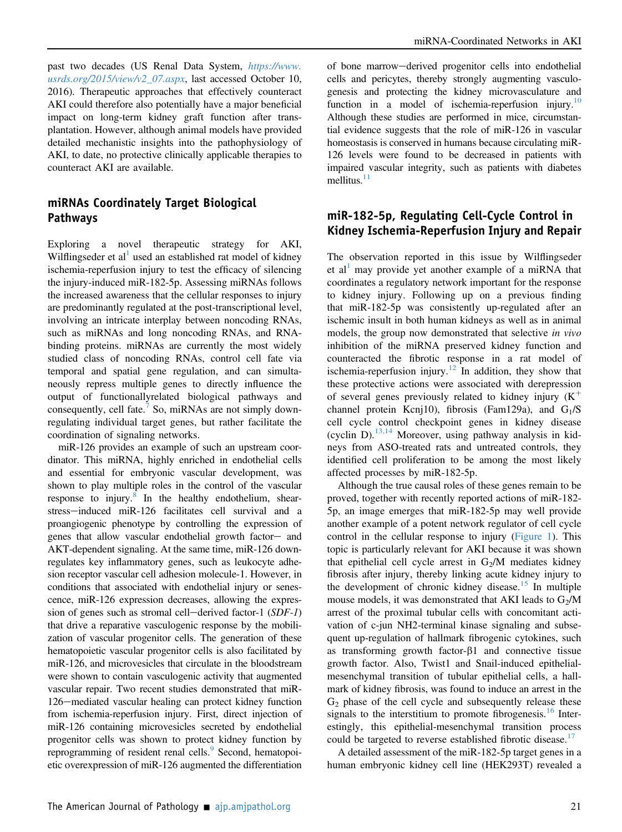past two decades (US Renal Data System, [https://www.](https://www.usrds.org/2015/view/v2_07.aspx) [usrds.org/2015/view/v2\\_07.aspx](https://www.usrds.org/2015/view/v2_07.aspx), last accessed October 10, 2016). Therapeutic approaches that effectively counteract AKI could therefore also potentially have a major beneficial impact on long-term kidney graft function after transplantation. However, although animal models have provided detailed mechanistic insights into the pathophysiology of AKI, to date, no protective clinically applicable therapies to counteract AKI are available.

# miRNAs Coordinately Target Biological Pathways

Exploring a novel therapeutic strategy for AKI, Wilflingseder et al used an established rat model of kidney ischemia-reperfusion injury to test the efficacy of silencing the injury-induced miR-182-5p. Assessing miRNAs follows the increased awareness that the cellular responses to injury are predominantly regulated at the post-transcriptional level, involving an intricate interplay between noncoding RNAs, such as miRNAs and long noncoding RNAs, and RNAbinding proteins. miRNAs are currently the most widely studied class of noncoding RNAs, control cell fate via temporal and spatial gene regulation, and can simultaneously repress multiple genes to directly influence the output of functionallyrelated biological pathways and consequently, cell fate.<sup>[7](#page-3-4)</sup> So, miRNAs are not simply downregulating individual target genes, but rather facilitate the coordination of signaling networks.

miR-126 provides an example of such an upstream coordinator. This miRNA, highly enriched in endothelial cells and essential for embryonic vascular development, was shown to play multiple roles in the control of the vascular response to injury.<sup>[8](#page-3-5)</sup> In the healthy endothelium, shearstress-induced miR-126 facilitates cell survival and a proangiogenic phenotype by controlling the expression of genes that allow vascular endothelial growth factor- and AKT-dependent signaling. At the same time, miR-126 downregulates key inflammatory genes, such as leukocyte adhesion receptor vascular cell adhesion molecule-1. However, in conditions that associated with endothelial injury or senescence, miR-126 expression decreases, allowing the expression of genes such as stromal cell-derived factor-1  $(SDF-1)$ that drive a reparative vasculogenic response by the mobilization of vascular progenitor cells. The generation of these hematopoietic vascular progenitor cells is also facilitated by miR-126, and microvesicles that circulate in the bloodstream were shown to contain vasculogenic activity that augmented vascular repair. Two recent studies demonstrated that miR-126–mediated vascular healing can protect kidney function from ischemia-reperfusion injury. First, direct injection of miR-126 containing microvesicles secreted by endothelial progenitor cells was shown to protect kidney function by reprogramming of resident renal cells.<sup>[9](#page-3-6)</sup> Second, hematopoietic overexpression of miR-126 augmented the differentiation

of bone marrow-derived progenitor cells into endothelial cells and pericytes, thereby strongly augmenting vasculogenesis and protecting the kidney microvasculature and function in a model of ischemia-reperfusion injury.<sup>[10](#page-3-7)</sup> Although these studies are performed in mice, circumstantial evidence suggests that the role of miR-126 in vascular homeostasis is conserved in humans because circulating miR-126 levels were found to be decreased in patients with impaired vascular integrity, such as patients with diabetes mellitus. $11$ 

#### miR-182-5p, Regulating Cell-Cycle Control in Kidney Ischemia-Reperfusion Injury and Repair

The observation reported in this issue by Wilflingseder et al<sup>[1](#page-3-0)</sup> may provide yet another example of a miRNA that coordinates a regulatory network important for the response to kidney injury. Following up on a previous finding that miR-182-5p was consistently up-regulated after an ischemic insult in both human kidneys as well as in animal models, the group now demonstrated that selective in vivo inhibition of the miRNA preserved kidney function and counteracted the fibrotic response in a rat model of ischemia-reperfusion injury. $12$  In addition, they show that these protective actions were associated with derepression of several genes previously related to kidney injury  $(K^+)$ channel protein Kcnj10), fibrosis (Fam129a), and  $G_1/S$ cell cycle control checkpoint genes in kidney disease (cyclin D).<sup>[13,14](#page-3-10)</sup> Moreover, using pathway analysis in kidneys from ASO-treated rats and untreated controls, they identified cell proliferation to be among the most likely affected processes by miR-182-5p.

Although the true causal roles of these genes remain to be proved, together with recently reported actions of miR-182- 5p, an image emerges that miR-182-5p may well provide another example of a potent network regulator of cell cycle control in the cellular response to injury [\(Figure 1](#page-2-0)). This topic is particularly relevant for AKI because it was shown that epithelial cell cycle arrest in  $G_2/M$  mediates kidney fibrosis after injury, thereby linking acute kidney injury to the development of chronic kidney disease.<sup>[15](#page-3-11)</sup> In multiple mouse models, it was demonstrated that AKI leads to  $G_2/M$ arrest of the proximal tubular cells with concomitant activation of c-jun NH2-terminal kinase signaling and subsequent up-regulation of hallmark fibrogenic cytokines, such as transforming growth factor- $\beta$ 1 and connective tissue growth factor. Also, Twist1 and Snail-induced epithelialmesenchymal transition of tubular epithelial cells, a hallmark of kidney fibrosis, was found to induce an arrest in the  $G<sub>2</sub>$  phase of the cell cycle and subsequently release these signals to the interstitium to promote fibrogenesis.<sup>[16](#page-3-12)</sup> Interestingly, this epithelial-mesenchymal transition process could be targeted to reverse established fibrotic disease.<sup>[17](#page-3-13)</sup>

A detailed assessment of the miR-182-5p target genes in a human embryonic kidney cell line (HEK293T) revealed a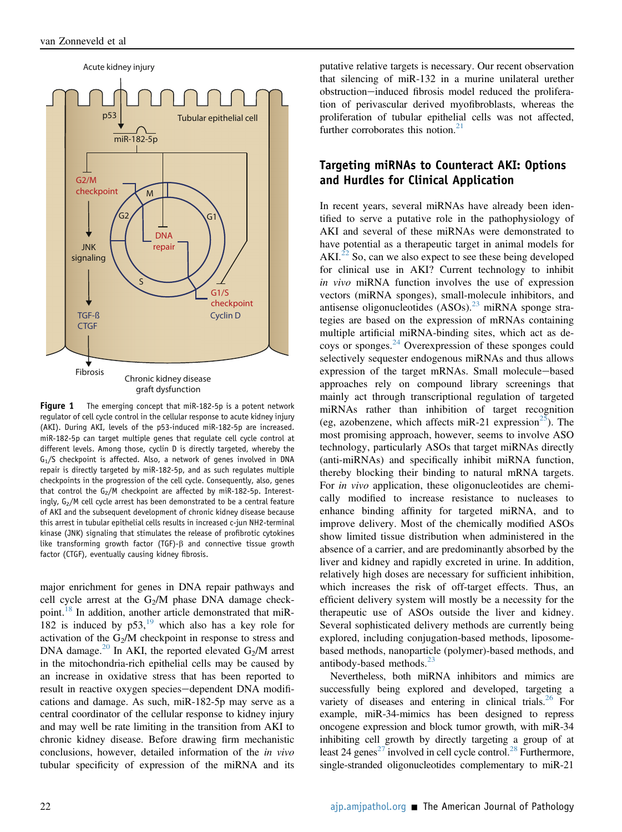<span id="page-2-0"></span>

Figure 1 The emerging concept that miR-182-5p is a potent network regulator of cell cycle control in the cellular response to acute kidney injury (AKI). During AKI, levels of the p53-induced miR-182-5p are increased. miR-182-5p can target multiple genes that regulate cell cycle control at different levels. Among those, cyclin D is directly targeted, whereby the  $G_1/S$  checkpoint is affected. Also, a network of genes involved in DNA repair is directly targeted by miR-182-5p, and as such regulates multiple checkpoints in the progression of the cell cycle. Consequently, also, genes that control the  $G_2/M$  checkpoint are affected by miR-182-5p. Interestingly,  $G_2/M$  cell cycle arrest has been demonstrated to be a central feature of AKI and the subsequent development of chronic kidney disease because this arrest in tubular epithelial cells results in increased c-jun NH2-terminal kinase (JNK) signaling that stimulates the release of profibrotic cytokines like transforming growth factor (TGF)- $\beta$  and connective tissue growth factor (CTGF), eventually causing kidney fibrosis.

major enrichment for genes in DNA repair pathways and cell cycle arrest at the  $G_2/M$  phase DNA damage checkpoint.[18](#page-4-0) In addition, another article demonstrated that miR-182 is induced by  $p53$ ,<sup>[19](#page-4-1)</sup> which also has a key role for activation of the  $G_2/M$  checkpoint in response to stress and DNA damage.<sup>[20](#page-4-2)</sup> In AKI, the reported elevated  $G_2/M$  arrest in the mitochondria-rich epithelial cells may be caused by an increase in oxidative stress that has been reported to result in reactive oxygen species-dependent DNA modifications and damage. As such, miR-182-5p may serve as a central coordinator of the cellular response to kidney injury and may well be rate limiting in the transition from AKI to chronic kidney disease. Before drawing firm mechanistic conclusions, however, detailed information of the in vivo tubular specificity of expression of the miRNA and its putative relative targets is necessary. Our recent observation that silencing of miR-132 in a murine unilateral urether obstruction-induced fibrosis model reduced the proliferation of perivascular derived myofibroblasts, whereas the proliferation of tubular epithelial cells was not affected, further corroborates this notion. $21$ 

## Targeting miRNAs to Counteract AKI: Options and Hurdles for Clinical Application

In recent years, several miRNAs have already been identified to serve a putative role in the pathophysiology of AKI and several of these miRNAs were demonstrated to have potential as a therapeutic target in animal models for AKI.<sup>[22](#page-4-4)</sup> So, can we also expect to see these being developed for clinical use in AKI? Current technology to inhibit in vivo miRNA function involves the use of expression vectors (miRNA sponges), small-molecule inhibitors, and antisense oligonucleotides  $(ASOs)$ .<sup>[23](#page-4-5)</sup> miRNA sponge strategies are based on the expression of mRNAs containing multiple artificial miRNA-binding sites, which act as decoys or sponges. $^{24}$  $^{24}$  $^{24}$  Overexpression of these sponges could selectively sequester endogenous miRNAs and thus allows expression of the target mRNAs. Small molecule-based approaches rely on compound library screenings that mainly act through transcriptional regulation of targeted miRNAs rather than inhibition of target recognition (eg, azobenzene, which affects miR-21 expression<sup>[25](#page-4-7)</sup>). The most promising approach, however, seems to involve ASO technology, particularly ASOs that target miRNAs directly (anti-miRNAs) and specifically inhibit miRNA function, thereby blocking their binding to natural mRNA targets. For in vivo application, these oligonucleotides are chemically modified to increase resistance to nucleases to enhance binding affinity for targeted miRNA, and to improve delivery. Most of the chemically modified ASOs show limited tissue distribution when administered in the absence of a carrier, and are predominantly absorbed by the liver and kidney and rapidly excreted in urine. In addition, relatively high doses are necessary for sufficient inhibition, which increases the risk of off-target effects. Thus, an efficient delivery system will mostly be a necessity for the therapeutic use of ASOs outside the liver and kidney. Several sophisticated delivery methods are currently being explored, including conjugation-based methods, liposomebased methods, nanoparticle (polymer)-based methods, and antibody-based methods.<sup>[23](#page-4-5)</sup>

Nevertheless, both miRNA inhibitors and mimics are successfully being explored and developed, targeting a variety of diseases and entering in clinical trials. $^{26}$  For example, miR-34-mimics has been designed to repress oncogene expression and block tumor growth, with miR-34 inhibiting cell growth by directly targeting a group of at least 24 genes<sup>27</sup> involved in cell cycle control.<sup>[28](#page-4-10)</sup> Furthermore, single-stranded oligonucleotides complementary to miR-21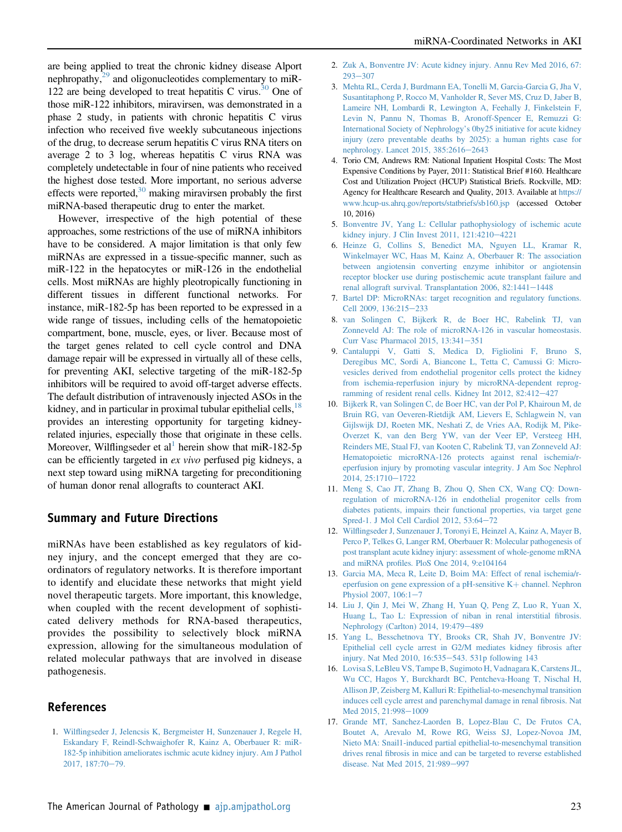are being applied to treat the chronic kidney disease Alport nephropathy, $^{29}$  and oligonucleotides complementary to miR-122 are being developed to treat hepatitis C virus.<sup>30</sup> One of those miR-122 inhibitors, miravirsen, was demonstrated in a phase 2 study, in patients with chronic hepatitis C virus infection who received five weekly subcutaneous injections of the drug, to decrease serum hepatitis C virus RNA titers on average 2 to 3 log, whereas hepatitis C virus RNA was completely undetectable in four of nine patients who received the highest dose tested. More important, no serious adverse effects were reported,  $30$  making miravirsen probably the first miRNA-based therapeutic drug to enter the market.

However, irrespective of the high potential of these approaches, some restrictions of the use of miRNA inhibitors have to be considered. A major limitation is that only few miRNAs are expressed in a tissue-specific manner, such as miR-122 in the hepatocytes or miR-126 in the endothelial cells. Most miRNAs are highly pleotropically functioning in different tissues in different functional networks. For instance, miR-182-5p has been reported to be expressed in a wide range of tissues, including cells of the hematopoietic compartment, bone, muscle, eyes, or liver. Because most of the target genes related to cell cycle control and DNA damage repair will be expressed in virtually all of these cells, for preventing AKI, selective targeting of the miR-182-5p inhibitors will be required to avoid off-target adverse effects. The default distribution of intravenously injected ASOs in the kidney, and in particular in proximal tubular epithelial cells, <sup>[18](#page-4-0)</sup> provides an interesting opportunity for targeting kidneyrelated injuries, especially those that originate in these cells. Moreover, Wilflingseder et al<sup>1</sup> herein show that miR-182-5p can be efficiently targeted in ex vivo perfused pig kidneys, a next step toward using miRNA targeting for preconditioning of human donor renal allografts to counteract AKI.

#### Summary and Future Directions

miRNAs have been established as key regulators of kidney injury, and the concept emerged that they are coordinators of regulatory networks. It is therefore important to identify and elucidate these networks that might yield novel therapeutic targets. More important, this knowledge, when coupled with the recent development of sophisticated delivery methods for RNA-based therapeutics, provides the possibility to selectively block miRNA expression, allowing for the simultaneous modulation of related molecular pathways that are involved in disease pathogenesis.

#### <span id="page-3-0"></span>References

1. Wilfl[ingseder J, Jelencsis K, Bergmeister H, Sunzenauer J, Regele H,](http://refhub.elsevier.com/S0002-9440(16)30474-6/sref1) [Eskandary F, Reindl-Schwaighofer R, Kainz A, Oberbauer R: miR-](http://refhub.elsevier.com/S0002-9440(16)30474-6/sref1)[182-5p inhibition ameliorates ischmic acute kidney injury. Am J Pathol](http://refhub.elsevier.com/S0002-9440(16)30474-6/sref1) [2017, 187:70](http://refhub.elsevier.com/S0002-9440(16)30474-6/sref1)-[79.](http://refhub.elsevier.com/S0002-9440(16)30474-6/sref1)

- <span id="page-3-1"></span>2. [Zuk A, Bonventre JV: Acute kidney injury. Annu Rev Med 2016, 67:](http://refhub.elsevier.com/S0002-9440(16)30474-6/sref2)  $293 - 307$  $293 - 307$  $293 - 307$
- 3. [Mehta RL, Cerda J, Burdmann EA, Tonelli M, Garcia-Garcia G, Jha V,](http://refhub.elsevier.com/S0002-9440(16)30474-6/sref3) [Susantitaphong P, Rocco M, Vanholder R, Sever MS, Cruz D, Jaber B,](http://refhub.elsevier.com/S0002-9440(16)30474-6/sref3) [Lameire NH, Lombardi R, Lewington A, Feehally J, Finkelstein F,](http://refhub.elsevier.com/S0002-9440(16)30474-6/sref3) [Levin N, Pannu N, Thomas B, Aronoff-Spencer E, Remuzzi G:](http://refhub.elsevier.com/S0002-9440(16)30474-6/sref3) [International Society of Nephrology](http://refhub.elsevier.com/S0002-9440(16)30474-6/sref3)'s 0by25 initiative for acute kidney [injury \(zero preventable deaths by 2025\): a human rights case for](http://refhub.elsevier.com/S0002-9440(16)30474-6/sref3) [nephrology. Lancet 2015, 385:2616](http://refhub.elsevier.com/S0002-9440(16)30474-6/sref3)-[2643](http://refhub.elsevier.com/S0002-9440(16)30474-6/sref3)
- <span id="page-3-2"></span>4. Torio CM, Andrews RM: National Inpatient Hospital Costs: The Most Expensive Conditions by Payer, 2011: Statistical Brief #160. Healthcare Cost and Utilization Project (HCUP) Statistical Briefs. Rockville, MD: Agency for Healthcare Research and Quality, 2013. Available at [https://](https://www.hcup-us.ahrq.gov/reports/statbriefs/sb160.jsp) [www.hcup-us.ahrq.gov/reports/statbriefs/sb160.jsp](https://www.hcup-us.ahrq.gov/reports/statbriefs/sb160.jsp) (accessed October 10, 2016)
- 5. [Bonventre JV, Yang L: Cellular pathophysiology of ischemic acute](http://refhub.elsevier.com/S0002-9440(16)30474-6/sref5) [kidney injury. J Clin Invest 2011, 121:4210](http://refhub.elsevier.com/S0002-9440(16)30474-6/sref5)-[4221](http://refhub.elsevier.com/S0002-9440(16)30474-6/sref5)
- <span id="page-3-3"></span>6. [Heinze G, Collins S, Benedict MA, Nguyen LL, Kramar R,](http://refhub.elsevier.com/S0002-9440(16)30474-6/sref6) [Winkelmayer WC, Haas M, Kainz A, Oberbauer R: The association](http://refhub.elsevier.com/S0002-9440(16)30474-6/sref6) [between angiotensin converting enzyme inhibitor or angiotensin](http://refhub.elsevier.com/S0002-9440(16)30474-6/sref6) [receptor blocker use during postischemic acute transplant failure and](http://refhub.elsevier.com/S0002-9440(16)30474-6/sref6) [renal allograft survival. Transplantation 2006, 82:1441](http://refhub.elsevier.com/S0002-9440(16)30474-6/sref6)-[1448](http://refhub.elsevier.com/S0002-9440(16)30474-6/sref6)
- <span id="page-3-4"></span>7. [Bartel DP: MicroRNAs: target recognition and regulatory functions.](http://refhub.elsevier.com/S0002-9440(16)30474-6/sref7) [Cell 2009, 136:215](http://refhub.elsevier.com/S0002-9440(16)30474-6/sref7)-[233](http://refhub.elsevier.com/S0002-9440(16)30474-6/sref7)
- <span id="page-3-5"></span>8. [van Solingen C, Bijkerk R, de Boer HC, Rabelink TJ, van](http://refhub.elsevier.com/S0002-9440(16)30474-6/sref8) [Zonneveld AJ: The role of microRNA-126 in vascular homeostasis.](http://refhub.elsevier.com/S0002-9440(16)30474-6/sref8) [Curr Vasc Pharmacol 2015, 13:341](http://refhub.elsevier.com/S0002-9440(16)30474-6/sref8)-[351](http://refhub.elsevier.com/S0002-9440(16)30474-6/sref8)
- <span id="page-3-6"></span>9. [Cantaluppi V, Gatti S, Medica D, Figliolini F, Bruno S,](http://refhub.elsevier.com/S0002-9440(16)30474-6/sref9) [Deregibus MC, Sordi A, Biancone L, Tetta C, Camussi G: Micro](http://refhub.elsevier.com/S0002-9440(16)30474-6/sref9)[vesicles derived from endothelial progenitor cells protect the kidney](http://refhub.elsevier.com/S0002-9440(16)30474-6/sref9) [from ischemia-reperfusion injury by microRNA-dependent reprog](http://refhub.elsevier.com/S0002-9440(16)30474-6/sref9)[ramming of resident renal cells. Kidney Int 2012, 82:412](http://refhub.elsevier.com/S0002-9440(16)30474-6/sref9)-[427](http://refhub.elsevier.com/S0002-9440(16)30474-6/sref9)
- <span id="page-3-7"></span>10. [Bijkerk R, van Solingen C, de Boer HC, van der Pol P, Khairoun M, de](http://refhub.elsevier.com/S0002-9440(16)30474-6/sref10) [Bruin RG, van Oeveren-Rietdijk AM, Lievers E, Schlagwein N, van](http://refhub.elsevier.com/S0002-9440(16)30474-6/sref10) [Gijlswijk DJ, Roeten MK, Neshati Z, de Vries AA, Rodijk M, Pike-](http://refhub.elsevier.com/S0002-9440(16)30474-6/sref10)[Overzet K, van den Berg YW, van der Veer EP, Versteeg HH,](http://refhub.elsevier.com/S0002-9440(16)30474-6/sref10) [Reinders ME, Staal FJ, van Kooten C, Rabelink TJ, van Zonneveld AJ:](http://refhub.elsevier.com/S0002-9440(16)30474-6/sref10) [Hematopoietic microRNA-126 protects against renal ischemia/r](http://refhub.elsevier.com/S0002-9440(16)30474-6/sref10)[eperfusion injury by promoting vascular integrity. J Am Soc Nephrol](http://refhub.elsevier.com/S0002-9440(16)30474-6/sref10) [2014, 25:1710](http://refhub.elsevier.com/S0002-9440(16)30474-6/sref10)-[1722](http://refhub.elsevier.com/S0002-9440(16)30474-6/sref10)
- <span id="page-3-8"></span>11. [Meng S, Cao JT, Zhang B, Zhou Q, Shen CX, Wang CQ: Down](http://refhub.elsevier.com/S0002-9440(16)30474-6/sref11a)[regulation of microRNA-126 in endothelial progenitor cells from](http://refhub.elsevier.com/S0002-9440(16)30474-6/sref11a) [diabetes patients, impairs their functional properties, via target gene](http://refhub.elsevier.com/S0002-9440(16)30474-6/sref11a) [Spred-1. J Mol Cell Cardiol 2012, 53:64](http://refhub.elsevier.com/S0002-9440(16)30474-6/sref11a)-[72](http://refhub.elsevier.com/S0002-9440(16)30474-6/sref11a)
- <span id="page-3-9"></span>12. Wilfl[ingseder J, Sunzenauer J, Toronyi E, Heinzel A, Kainz A, Mayer B,](http://refhub.elsevier.com/S0002-9440(16)30474-6/sref12a) [Perco P, Telkes G, Langer RM, Oberbauer R: Molecular pathogenesis of](http://refhub.elsevier.com/S0002-9440(16)30474-6/sref12a) [post transplant acute kidney injury: assessment of whole-genome mRNA](http://refhub.elsevier.com/S0002-9440(16)30474-6/sref12a) and miRNA profi[les. PloS One 2014, 9:e104164](http://refhub.elsevier.com/S0002-9440(16)30474-6/sref12a)
- <span id="page-3-10"></span>13. [Garcia MA, Meca R, Leite D, Boim MA: Effect of renal ischemia/r](http://refhub.elsevier.com/S0002-9440(16)30474-6/sref13a)eperfusion on gene expression of a pH-sensitive  $K+$  [channel. Nephron](http://refhub.elsevier.com/S0002-9440(16)30474-6/sref13a) Physiol 200[7](http://refhub.elsevier.com/S0002-9440(16)30474-6/sref13a),  $106:1-7$
- 14. [Liu J, Qin J, Mei W, Zhang H, Yuan Q, Peng Z, Luo R, Yuan X,](http://refhub.elsevier.com/S0002-9440(16)30474-6/sref14a) [Huang L, Tao L: Expression of niban in renal interstitial](http://refhub.elsevier.com/S0002-9440(16)30474-6/sref14a) fibrosis. [Nephrology \(Carlton\) 2014, 19:479](http://refhub.elsevier.com/S0002-9440(16)30474-6/sref14a)-[489](http://refhub.elsevier.com/S0002-9440(16)30474-6/sref14a)
- <span id="page-3-11"></span>15. [Yang L, Besschetnova TY, Brooks CR, Shah JV, Bonventre JV:](http://refhub.elsevier.com/S0002-9440(16)30474-6/sref12) [Epithelial cell cycle arrest in G2/M mediates kidney](http://refhub.elsevier.com/S0002-9440(16)30474-6/sref12) fibrosis after injury. Nat Med 2010,  $16:535 - 543.531p$  following 143
- <span id="page-3-12"></span>16. [Lovisa S, LeBleu VS, Tampe B, Sugimoto H, Vadnagara K, Carstens JL,](http://refhub.elsevier.com/S0002-9440(16)30474-6/sref13) [Wu CC, Hagos Y, Burckhardt BC, Pentcheva-Hoang T, Nischal H,](http://refhub.elsevier.com/S0002-9440(16)30474-6/sref13) [Allison JP, Zeisberg M, Kalluri R: Epithelial-to-mesenchymal transition](http://refhub.elsevier.com/S0002-9440(16)30474-6/sref13) [induces cell cycle arrest and parenchymal damage in renal](http://refhub.elsevier.com/S0002-9440(16)30474-6/sref13) fibrosis. Nat [Med 2015, 21:998](http://refhub.elsevier.com/S0002-9440(16)30474-6/sref13)-[1009](http://refhub.elsevier.com/S0002-9440(16)30474-6/sref13)
- <span id="page-3-13"></span>17. [Grande MT, Sanchez-Laorden B, Lopez-Blau C, De Frutos CA,](http://refhub.elsevier.com/S0002-9440(16)30474-6/sref14) [Boutet A, Arevalo M, Rowe RG, Weiss SJ, Lopez-Novoa JM,](http://refhub.elsevier.com/S0002-9440(16)30474-6/sref14) [Nieto MA: Snail1-induced partial epithelial-to-mesenchymal transition](http://refhub.elsevier.com/S0002-9440(16)30474-6/sref14) drives renal fi[brosis in mice and can be targeted to reverse established](http://refhub.elsevier.com/S0002-9440(16)30474-6/sref14) [disease. Nat Med 2015, 21:989](http://refhub.elsevier.com/S0002-9440(16)30474-6/sref14)-[997](http://refhub.elsevier.com/S0002-9440(16)30474-6/sref14)